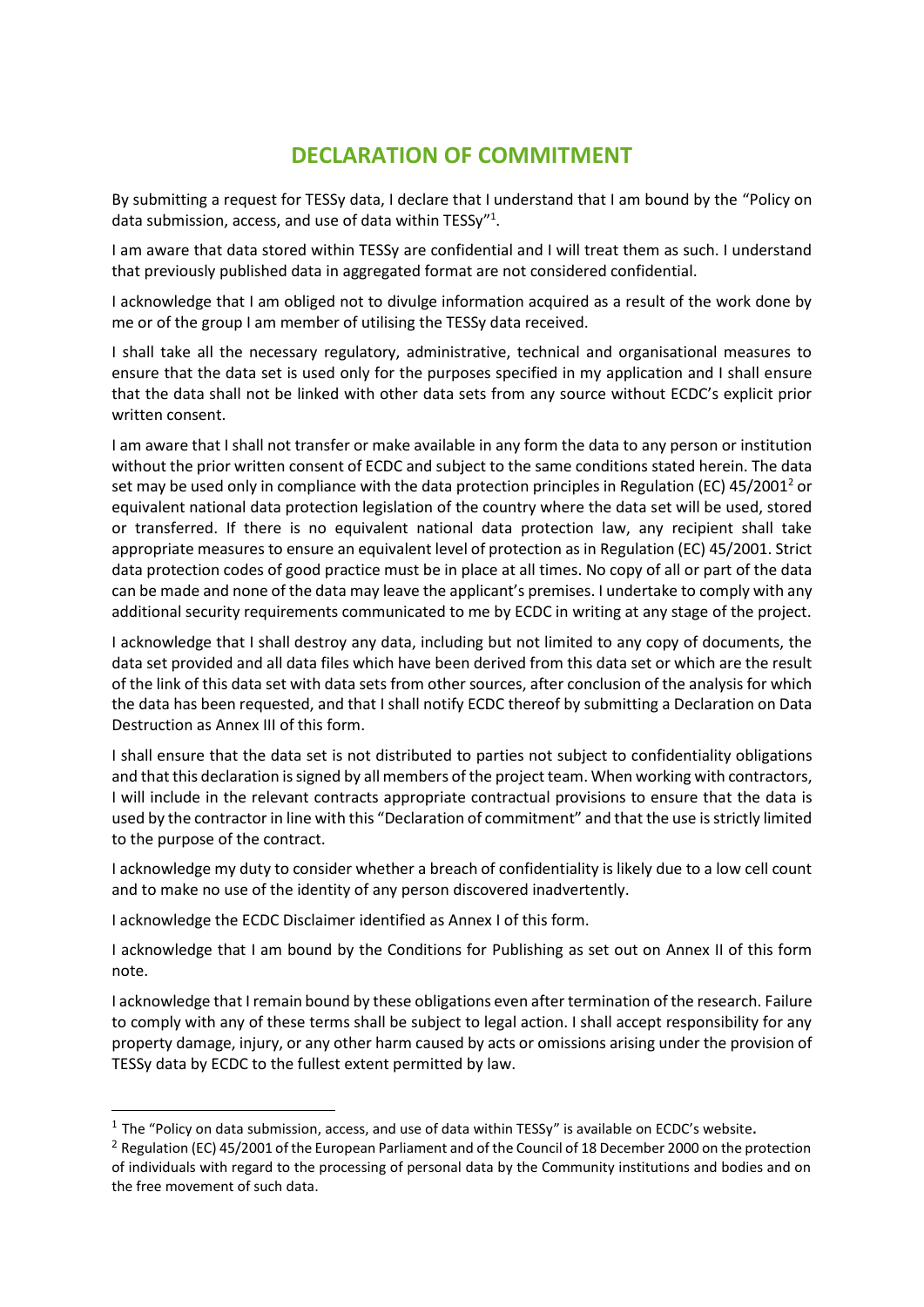# **DECLARATION OF COMMITMENT**

By submitting a request for TESSy data, I declare that I understand that I am bound by the "Policy on data submission, access, and use of data within TESSy"<sup>1</sup>.

I am aware that data stored within TESSy are confidential and I will treat them as such. I understand that previously published data in aggregated format are not considered confidential.

I acknowledge that I am obliged not to divulge information acquired as a result of the work done by me or of the group I am member of utilising the TESSy data received.

I shall take all the necessary regulatory, administrative, technical and organisational measures to ensure that the data set is used only for the purposes specified in my application and I shall ensure that the data shall not be linked with other data sets from any source without ECDC's explicit prior written consent.

I am aware that I shall not transfer or make available in any form the data to any person or institution without the prior written consent of ECDC and subject to the same conditions stated herein. The data set may be used only in compliance with the data protection principles in Regulation (EC) 45/2001<sup>2</sup> or equivalent national data protection legislation of the country where the data set will be used, stored or transferred. If there is no equivalent national data protection law, any recipient shall take appropriate measures to ensure an equivalent level of protection as in Regulation (EC) 45/2001. Strict data protection codes of good practice must be in place at all times. No copy of all or part of the data can be made and none of the data may leave the applicant's premises. I undertake to comply with any additional security requirements communicated to me by ECDC in writing at any stage of the project.

I acknowledge that I shall destroy any data, including but not limited to any copy of documents, the data set provided and all data files which have been derived from this data set or which are the result of the link of this data set with data sets from other sources, after conclusion of the analysis for which the data has been requested, and that I shall notify ECDC thereof by submitting a Declaration on Data Destruction as Annex III of this form.

I shall ensure that the data set is not distributed to parties not subject to confidentiality obligations and that this declaration is signed by all members of the project team. When working with contractors, I will include in the relevant contracts appropriate contractual provisions to ensure that the data is used by the contractor in line with this "Declaration of commitment" and that the use is strictly limited to the purpose of the contract.

I acknowledge my duty to consider whether a breach of confidentiality is likely due to a low cell count and to make no use of the identity of any person discovered inadvertently.

I acknowledge the ECDC Disclaimer identified as Annex I of this form.

-

I acknowledge that I am bound by the Conditions for Publishing as set out on Annex II of this form note.

I acknowledge that I remain bound by these obligations even after termination of the research. Failure to comply with any of these terms shall be subject to legal action. I shall accept responsibility for any property damage, injury, or any other harm caused by acts or omissions arising under the provision of TESSy data by ECDC to the fullest extent permitted by law.

<sup>&</sup>lt;sup>1</sup> The "Policy on data submission, access, and use of data within TESSy" is available on [ECDC](http://ecdc.europa.eu/en/activities/surveillance/tessy/pages/tessy-access-to-data.aspx)'s website.

<sup>&</sup>lt;sup>2</sup> Regulation (EC) 45/2001 of the European Parliament and of the Council of 18 December 2000 on the protection of individuals with regard to the processing of personal data by the Community institutions and bodies and on the free movement of such data.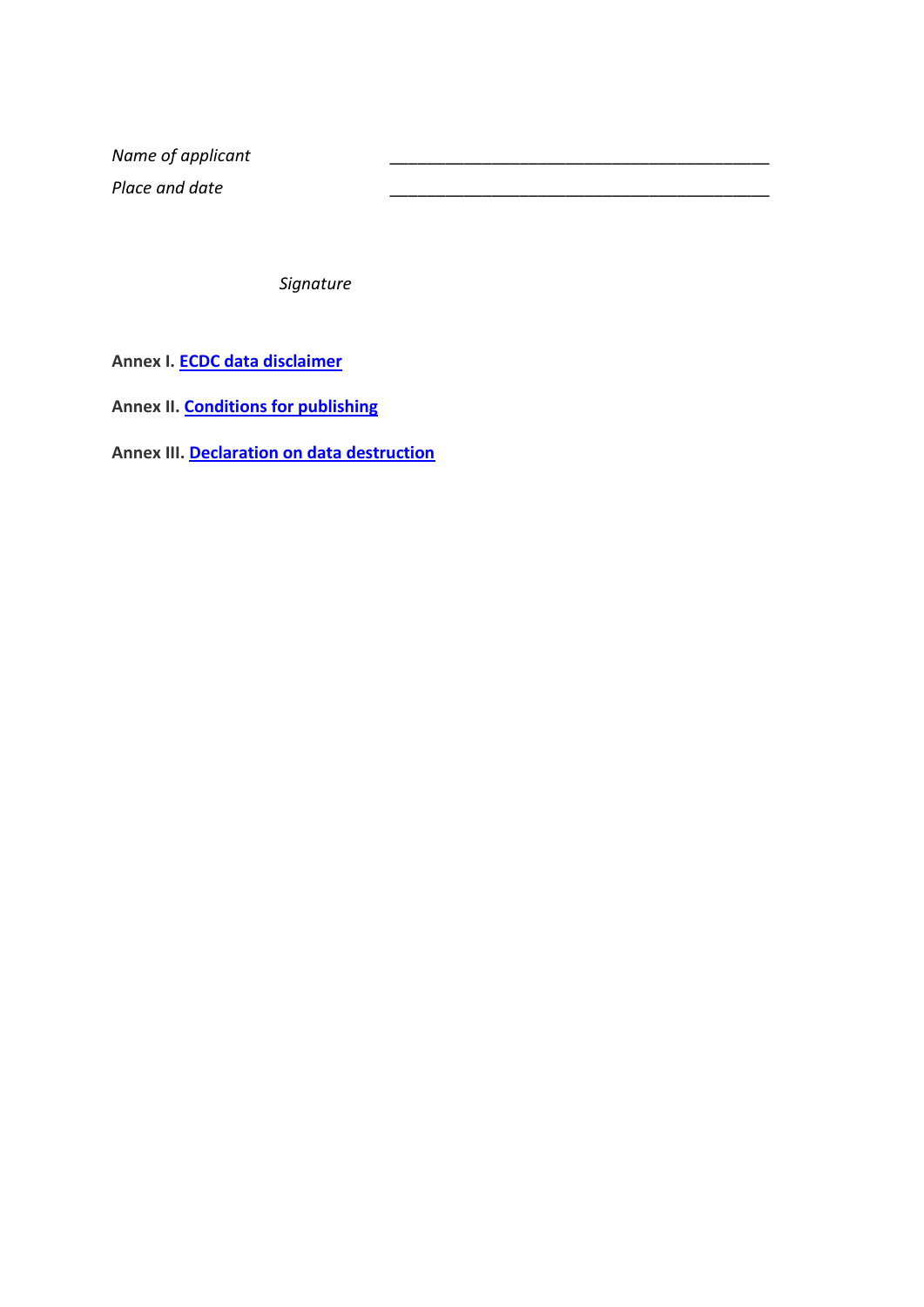*Name of applicant \_\_\_\_\_\_\_\_\_\_\_\_\_\_\_\_\_\_\_\_\_\_\_\_\_\_\_\_\_\_\_\_\_\_\_\_\_\_\_\_\_ Place and date \_\_\_\_\_\_\_\_\_\_\_\_\_\_\_\_\_\_\_\_\_\_\_\_\_\_\_\_\_\_\_\_\_\_\_\_\_\_\_\_\_*

*Signature*

**Annex I. [ECDC data disclaimer](#page-2-0)**

**Annex II[. Conditions for publishing](#page-3-0)**

**Annex III. [Declaration on data destruction](#page-4-0)**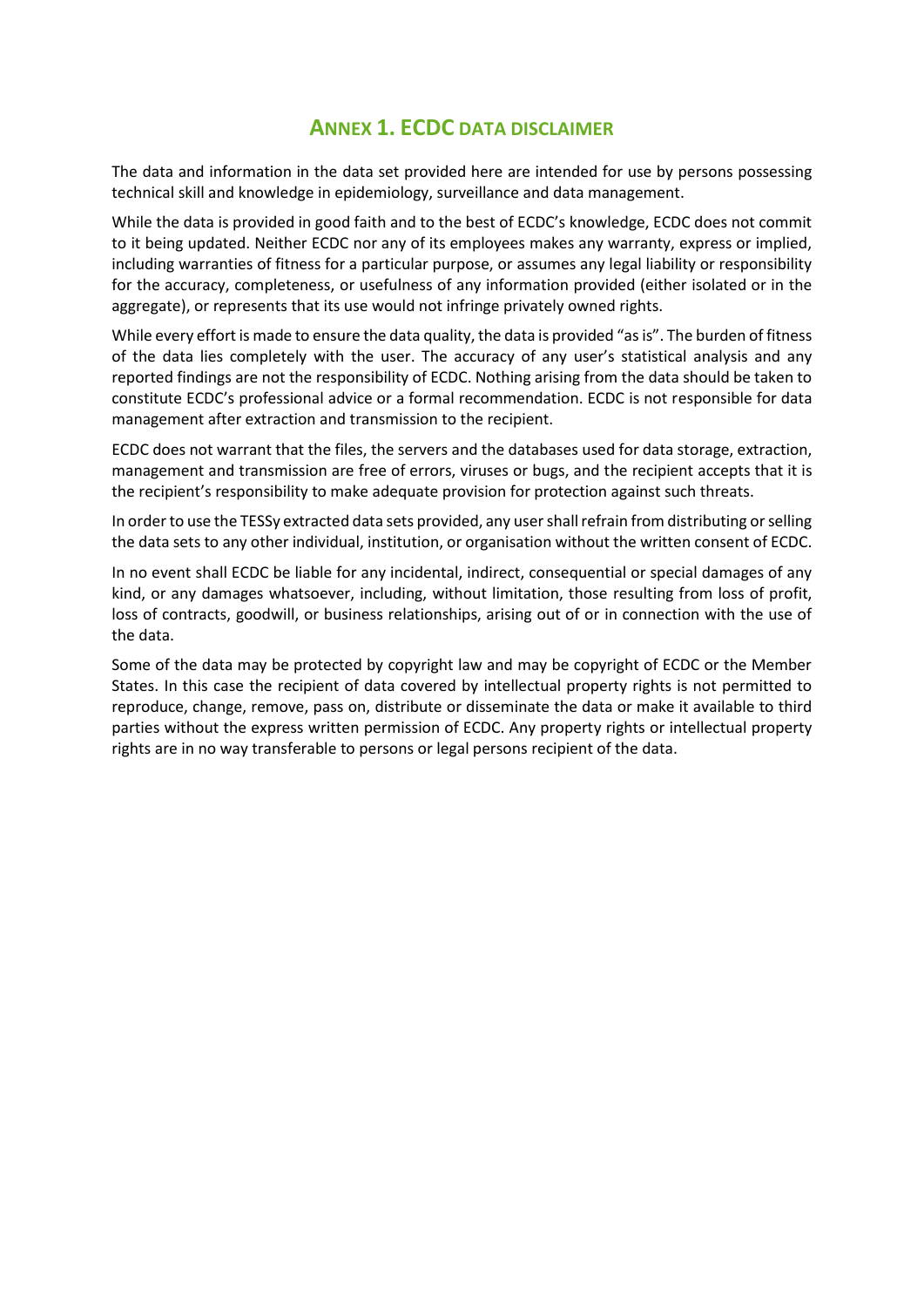## **ANNEX 1. ECDC DATA DISCLAIMER**

<span id="page-2-0"></span>The data and information in the data set provided here are intended for use by persons possessing technical skill and knowledge in epidemiology, surveillance and data management.

While the data is provided in good faith and to the best of ECDC's knowledge, ECDC does not commit to it being updated. Neither ECDC nor any of its employees makes any warranty, express or implied, including warranties of fitness for a particular purpose, or assumes any legal liability or responsibility for the accuracy, completeness, or usefulness of any information provided (either isolated or in the aggregate), or represents that its use would not infringe privately owned rights.

While every effort is made to ensure the data quality, the data is provided "as is". The burden of fitness of the data lies completely with the user. The accuracy of any user's statistical analysis and any reported findings are not the responsibility of ECDC. Nothing arising from the data should be taken to constitute ECDC's professional advice or a formal recommendation. ECDC is not responsible for data management after extraction and transmission to the recipient.

ECDC does not warrant that the files, the servers and the databases used for data storage, extraction, management and transmission are free of errors, viruses or bugs, and the recipient accepts that it is the recipient's responsibility to make adequate provision for protection against such threats.

In order to use the TESSy extracted data sets provided, any user shall refrain from distributing or selling the data sets to any other individual, institution, or organisation without the written consent of ECDC.

In no event shall ECDC be liable for any incidental, indirect, consequential or special damages of any kind, or any damages whatsoever, including, without limitation, those resulting from loss of profit, loss of contracts, goodwill, or business relationships, arising out of or in connection with the use of the data.

Some of the data may be protected by copyright law and may be copyright of ECDC or the Member States. In this case the recipient of data covered by intellectual property rights is not permitted to reproduce, change, remove, pass on, distribute or disseminate the data or make it available to third parties without the express written permission of ECDC. Any property rights or intellectual property rights are in no way transferable to persons or legal persons recipient of the data.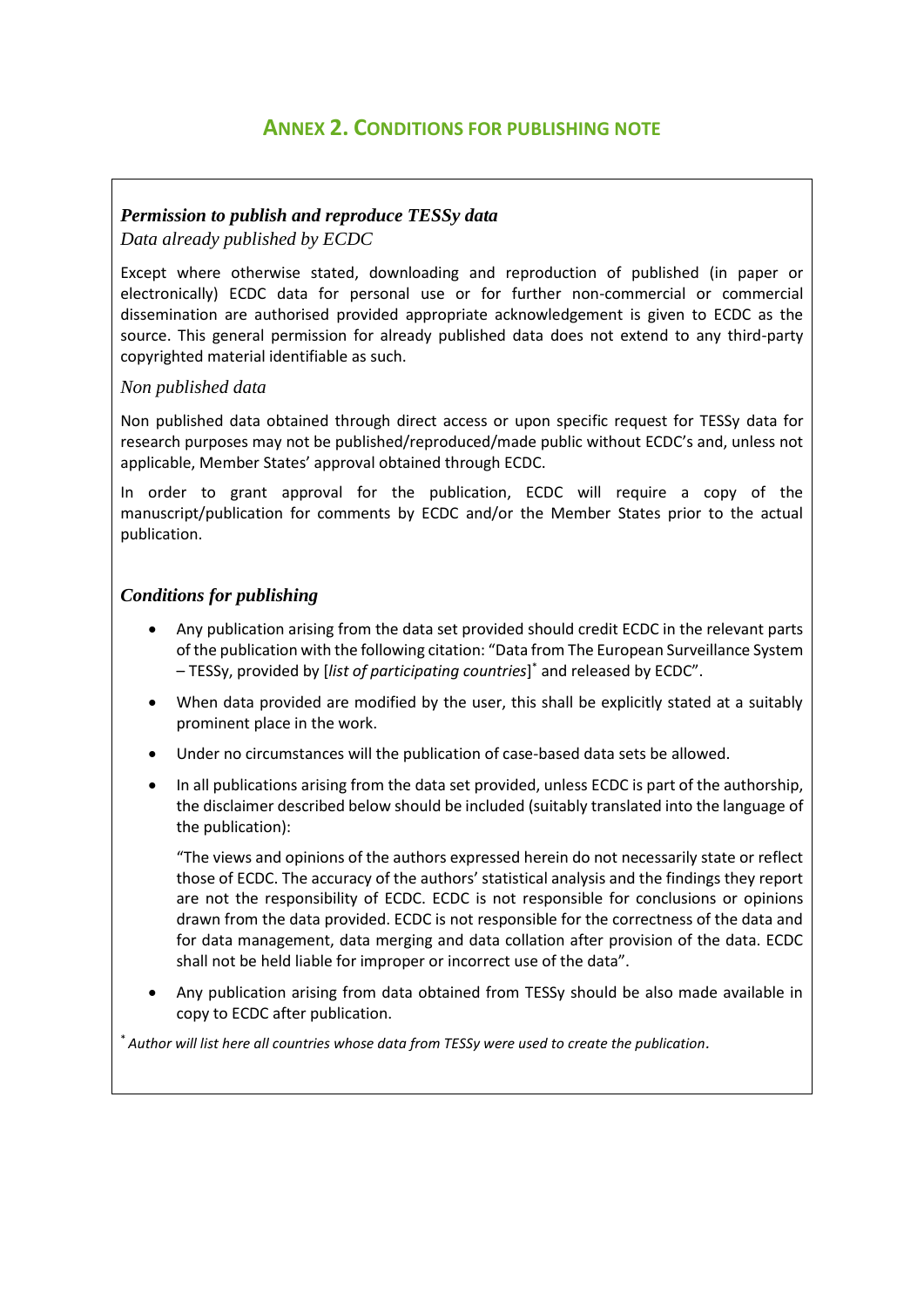# **ANNEX 2. CONDITIONS FOR PUBLISHING NOTE**

### <span id="page-3-0"></span>*Permission to publish and reproduce TESSy data*

*Data already published by ECDC*

Except where otherwise stated, downloading and reproduction of published (in paper or electronically) ECDC data for personal use or for further non-commercial or commercial dissemination are authorised provided appropriate acknowledgement is given to ECDC as the source. This general permission for already published data does not extend to any third-party copyrighted material identifiable as such.

#### *Non published data*

Non published data obtained through direct access or upon specific request for TESSy data for research purposes may not be published/reproduced/made public without ECDC's and, unless not applicable, Member States' approval obtained through ECDC.

In order to grant approval for the publication, ECDC will require a copy of the manuscript/publication for comments by ECDC and/or the Member States prior to the actual publication.

### *Conditions for publishing*

- Any publication arising from the data set provided should credit ECDC in the relevant parts of the publication with the following citation: "Data from The European Surveillance System – TESSy, provided by [*list of participating countries*] \* and released by ECDC".
- When data provided are modified by the user, this shall be explicitly stated at a suitably prominent place in the work.
- Under no circumstances will the publication of case-based data sets be allowed.
- In all publications arising from the data set provided, unless ECDC is part of the authorship, the disclaimer described below should be included (suitably translated into the language of the publication):

"The views and opinions of the authors expressed herein do not necessarily state or reflect those of ECDC. The accuracy of the authors' statistical analysis and the findings they report are not the responsibility of ECDC. ECDC is not responsible for conclusions or opinions drawn from the data provided. ECDC is not responsible for the correctness of the data and for data management, data merging and data collation after provision of the data. ECDC shall not be held liable for improper or incorrect use of the data".

 Any publication arising from data obtained from TESSy should be also made available in copy to ECDC after publication.

\* *Author will list here all countries whose data from TESSy were used to create the publication.*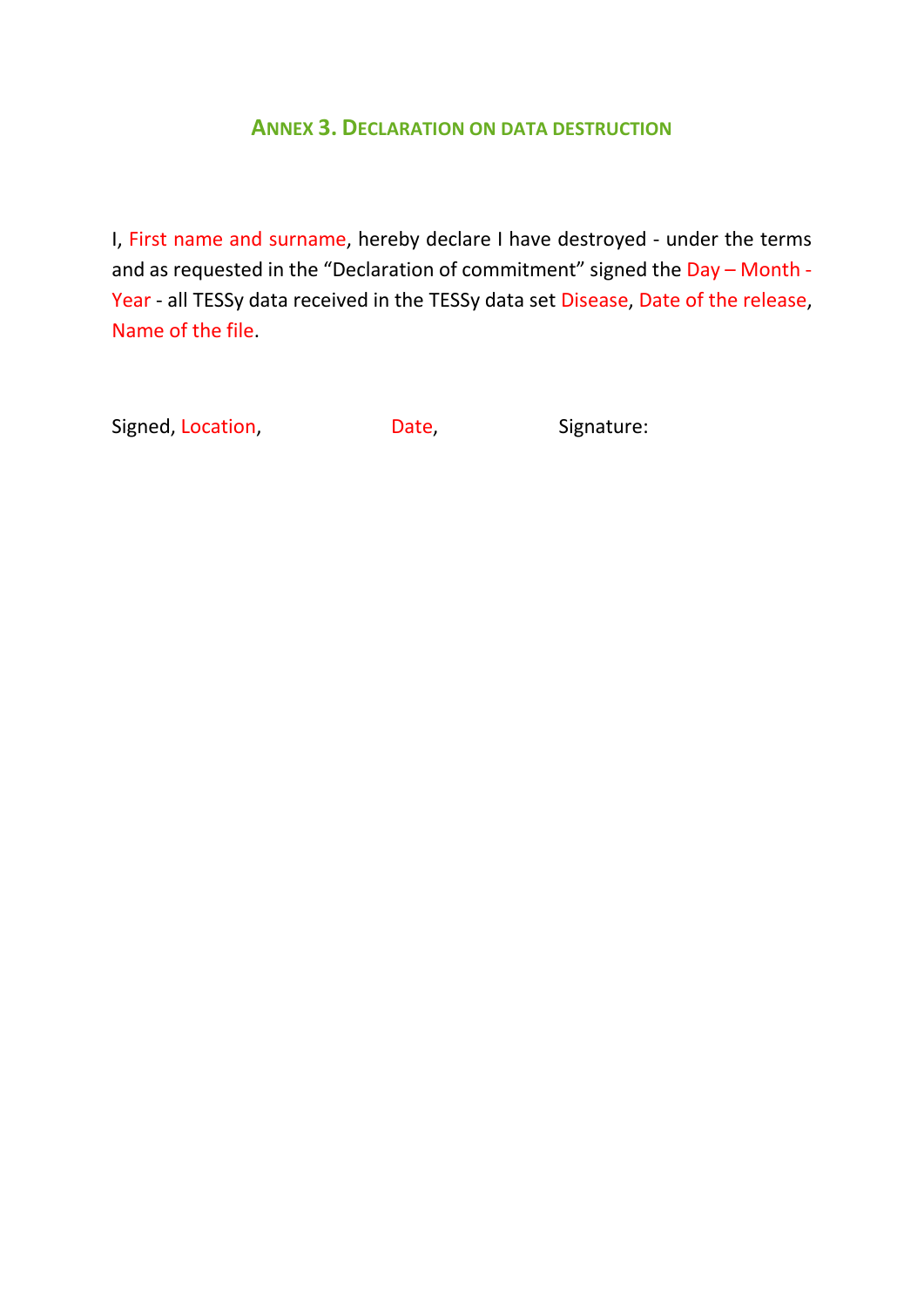## **ANNEX 3. DECLARATION ON DATA DESTRUCTION**

<span id="page-4-0"></span>I, First name and surname, hereby declare I have destroyed - under the terms and as requested in the "Declaration of commitment" signed the Day - Month -Year - all TESSy data received in the TESSy data set Disease, Date of the release, Name of the file.

Signed, Location, Signature: Date, Signature: